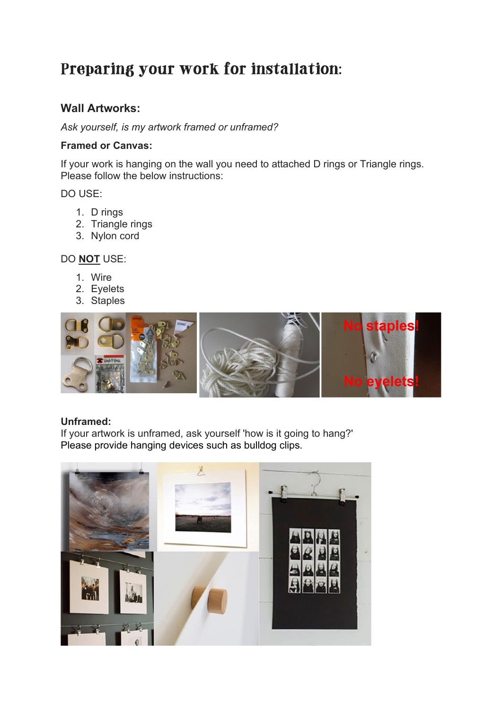# Preparing your work for installation:

# **Wall Artworks:**

*Ask yourself, is my artwork framed or unframed?*

#### **Framed or Canvas:**

If your work is hanging on the wall you need to attached D rings or Triangle rings. Please follow the below instructions:

DO USE:

- 1. D rings
- 2. Triangle rings
- 3. Nylon cord

## DO **NOT** USE:

- 1. Wire
- 2. Eyelets
- 3. Staples



#### **Unframed:**

If your artwork is unframed, ask yourself 'how is it going to hang?' Please provide hanging devices such as bulldog clips.